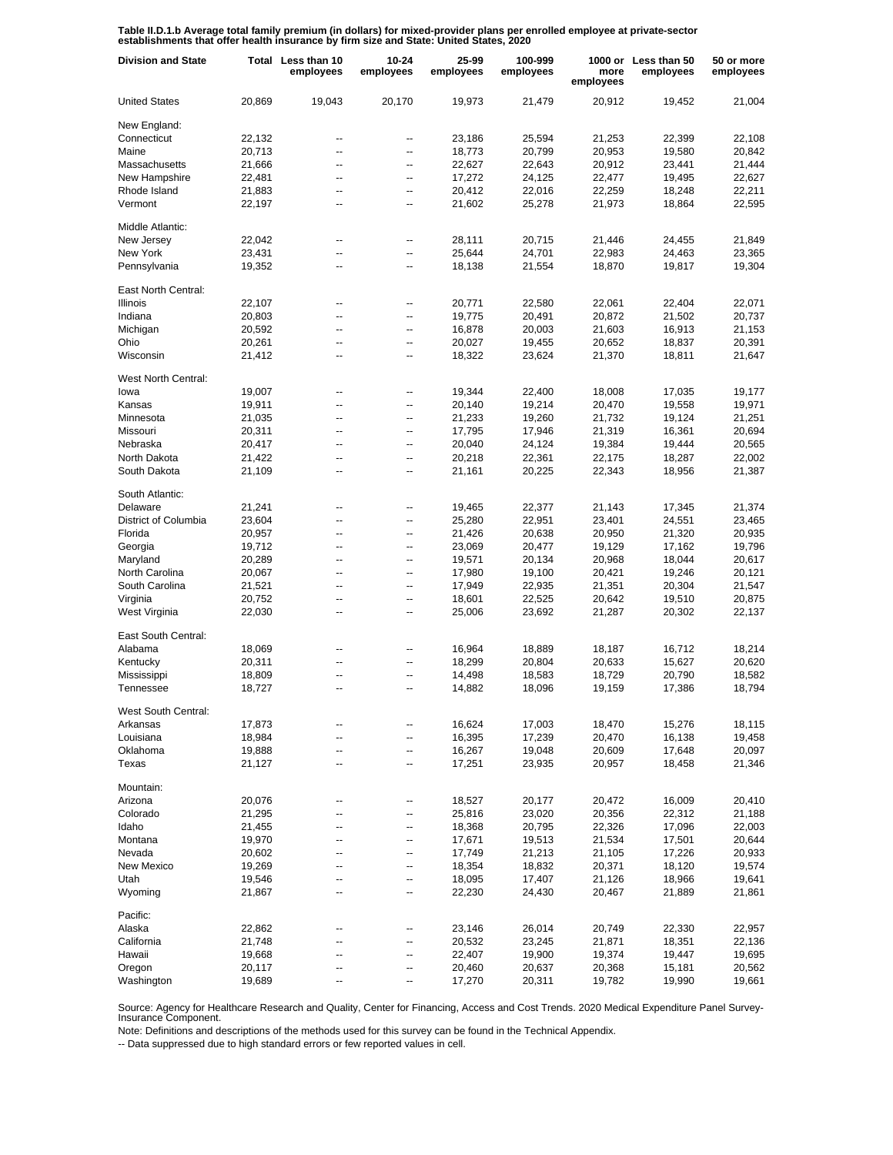**Table II.D.1.b Average total family premium (in dollars) for mixed-provider plans per enrolled employee at private-sector establishments that offer health insurance by firm size and State: United States, 2020**

| <b>Division and State</b> |        | Total Less than 10<br>employees | 10-24<br>employees | 25-99<br>employees | 100-999<br>employees | more<br>employees | 1000 or Less than 50<br>employees | 50 or more<br>employees |
|---------------------------|--------|---------------------------------|--------------------|--------------------|----------------------|-------------------|-----------------------------------|-------------------------|
| <b>United States</b>      | 20,869 | 19.043                          | 20,170             | 19,973             | 21,479               | 20,912            | 19,452                            | 21,004                  |
| New England:              |        |                                 |                    |                    |                      |                   |                                   |                         |
| Connecticut               | 22,132 | --                              | --                 | 23,186             | 25,594               | 21,253            | 22,399                            | 22,108                  |
| Maine                     | 20,713 | --                              | --                 | 18,773             | 20,799               | 20,953            | 19,580                            | 20,842                  |
| Massachusetts             | 21,666 | $\overline{a}$                  | --                 | 22,627             | 22,643               | 20,912            | 23,441                            | 21,444                  |
| New Hampshire             | 22,481 | $\overline{\phantom{a}}$        | --                 | 17,272             | 24,125               | 22,477            | 19,495                            | 22,627                  |
| Rhode Island              | 21,883 | $\overline{a}$                  | $\overline{a}$     | 20,412             | 22,016               | 22,259            | 18,248                            | 22,211                  |
| Vermont                   | 22,197 | --                              | --                 | 21,602             | 25,278               | 21,973            | 18,864                            | 22,595                  |
| Middle Atlantic:          |        |                                 |                    |                    |                      |                   |                                   |                         |
| New Jersey                | 22,042 | --                              | --                 | 28,111             | 20,715               | 21,446            | 24,455                            | 21,849                  |
| New York                  | 23,431 | ۵.                              | Ξ.                 | 25,644             | 24,701               | 22,983            | 24,463                            | 23,365                  |
| Pennsylvania              | 19,352 | $\overline{\phantom{a}}$        | --                 | 18,138             | 21,554               | 18,870            | 19,817                            | 19,304                  |
| East North Central:       |        |                                 |                    |                    |                      |                   |                                   |                         |
| <b>Illinois</b>           | 22,107 | --                              | --                 | 20,771             | 22,580               | 22,061            | 22,404                            | 22,071                  |
| Indiana                   | 20,803 | --                              | --                 | 19,775             | 20,491               | 20,872            | 21,502                            | 20,737                  |
| Michigan                  | 20,592 | --                              | --                 | 16,878             | 20,003               | 21,603            | 16,913                            | 21,153                  |
| Ohio                      | 20,261 | --                              | --                 | 20,027             | 19,455               | 20,652            | 18,837                            | 20,391                  |
| Wisconsin                 | 21,412 | --                              | --                 | 18,322             | 23,624               | 21,370            | 18,811                            | 21,647                  |
| West North Central:       |        |                                 |                    |                    |                      |                   |                                   |                         |
| lowa                      | 19,007 | --                              | --                 | 19,344             | 22,400               | 18,008            | 17,035                            | 19,177                  |
| Kansas                    | 19,911 | --                              | --                 | 20,140             | 19,214               | 20,470            | 19,558                            | 19,971                  |
| Minnesota                 | 21,035 | --                              | --                 | 21,233             | 19,260               | 21,732            | 19,124                            | 21,251                  |
| Missouri                  | 20,311 | $\overline{\phantom{a}}$        | --                 | 17,795             | 17,946               | 21,319            | 16,361                            | 20,694                  |
| Nebraska                  | 20,417 | $\overline{a}$                  | $\overline{a}$     | 20,040             | 24,124               | 19,384            | 19,444                            | 20,565                  |
| North Dakota              | 21,422 | --                              | --                 | 20,218             | 22,361               | 22,175            | 18,287                            | 22,002                  |
| South Dakota              | 21,109 | $\overline{a}$                  | --                 | 21,161             | 20,225               | 22,343            | 18,956                            | 21,387                  |
| South Atlantic:           |        |                                 |                    |                    |                      |                   |                                   |                         |
| Delaware                  | 21,241 | --                              | --                 | 19,465             | 22,377               | 21,143            | 17,345                            | 21,374                  |
| District of Columbia      | 23,604 | ۵.                              | Ξ.                 | 25,280             | 22,951               | 23,401            | 24,551                            | 23,465                  |
| Florida                   | 20,957 | --                              | Ξ.                 | 21,426             | 20,638               | 20,950            | 21,320                            | 20,935                  |
| Georgia                   | 19,712 | $\overline{\phantom{a}}$        | Ξ.                 | 23,069             | 20,477               | 19,129            | 17,162                            | 19,796                  |
| Maryland                  | 20,289 | --                              | Ξ.                 | 19,571             | 20,134               | 20,968            | 18,044                            | 20,617                  |
| North Carolina            | 20,067 | $\overline{\phantom{a}}$        | Ξ.                 | 17,980             | 19,100               | 20,421            | 19,246                            | 20,121                  |
| South Carolina            | 21,521 | --                              | Ξ.                 | 17,949             | 22,935               | 21,351            | 20,304                            | 21,547                  |
| Virginia                  | 20,752 | $\overline{\phantom{a}}$        | Ξ.                 | 18,601             | 22,525               | 20,642            | 19,510                            | 20,875                  |
| West Virginia             | 22,030 | --                              | --                 | 25,006             | 23,692               | 21,287            | 20,302                            | 22,137                  |
| East South Central:       |        |                                 |                    |                    |                      |                   |                                   |                         |
| Alabama                   | 18,069 | ۰.                              | --                 | 16,964             | 18,889               | 18,187            | 16,712                            | 18,214                  |
| Kentucky                  | 20,311 |                                 | --                 | 18,299             | 20,804               | 20,633            | 15,627                            | 20,620                  |
| Mississippi               | 18,809 | --                              | --                 | 14,498             | 18,583               | 18,729            | 20,790                            | 18,582                  |
| Tennessee                 | 18,727 | --                              | --                 | 14,882             | 18,096               | 19,159            | 17,386                            | 18,794                  |
| West South Central:       |        |                                 |                    |                    |                      |                   |                                   |                         |
| Arkansas                  | 17,873 |                                 | --                 | 16,624             | 17,003               | 18,470            | 15,276                            | 18,115                  |
| Louisiana                 | 18,984 | --                              | --                 | 16,395             | 17,239               | 20,470            | 16,138                            | 19,458                  |
| Oklahoma                  | 19,888 | --                              | --                 | 16,267             | 19,048               | 20,609            | 17,648                            | 20,097                  |
| Texas                     | 21,127 | ۰.                              | --                 | 17,251             | 23,935               | 20,957            | 18,458                            | 21,346                  |
| Mountain:                 |        |                                 |                    |                    |                      |                   |                                   |                         |
| Arizona                   | 20,076 | --                              |                    | 18,527             | 20,177               | 20,472            | 16,009                            | 20,410                  |
| Colorado                  | 21,295 |                                 | --                 | 25,816             | 23,020               | 20,356            | 22,312                            | 21,188                  |
| Idaho                     | 21,455 |                                 | --                 | 18,368             | 20,795               | 22,326            | 17,096                            | 22,003                  |
| Montana                   | 19,970 |                                 | --                 | 17,671             | 19,513               | 21,534            | 17,501                            | 20,644                  |
| Nevada                    | 20,602 |                                 | --                 | 17,749             | 21,213               | 21,105            | 17,226                            | 20,933                  |
| New Mexico                | 19,269 |                                 | --                 | 18,354             | 18,832               | 20,371            | 18,120                            | 19,574                  |
| Utah                      | 19,546 |                                 | --                 | 18,095             | 17,407               | 21,126            | 18,966                            | 19,641                  |
| Wyoming                   | 21,867 |                                 | --                 | 22,230             | 24,430               | 20,467            | 21,889                            | 21,861                  |
| Pacific:                  |        |                                 |                    |                    |                      |                   |                                   |                         |
| Alaska                    | 22,862 | ۰.                              | --                 | 23,146             | 26,014               | 20,749            | 22,330                            | 22,957                  |
| California                | 21,748 |                                 |                    | 20,532             | 23,245               | 21,871            | 18,351                            | 22,136                  |
| Hawaii                    | 19,668 | ۰.                              | --                 | 22,407             | 19,900               | 19,374            | 19,447                            | 19,695                  |
| Oregon                    | 20,117 |                                 | --                 | 20,460             | 20,637               | 20,368            | 15,181                            | 20,562                  |
| Washington                | 19,689 |                                 | --                 | 17,270             | 20,311               | 19,782            | 19,990                            | 19,661                  |

Source: Agency for Healthcare Research and Quality, Center for Financing, Access and Cost Trends. 2020 Medical Expenditure Panel Survey-Insurance Component.

Note: Definitions and descriptions of the methods used for this survey can be found in the Technical Appendix.

-- Data suppressed due to high standard errors or few reported values in cell.